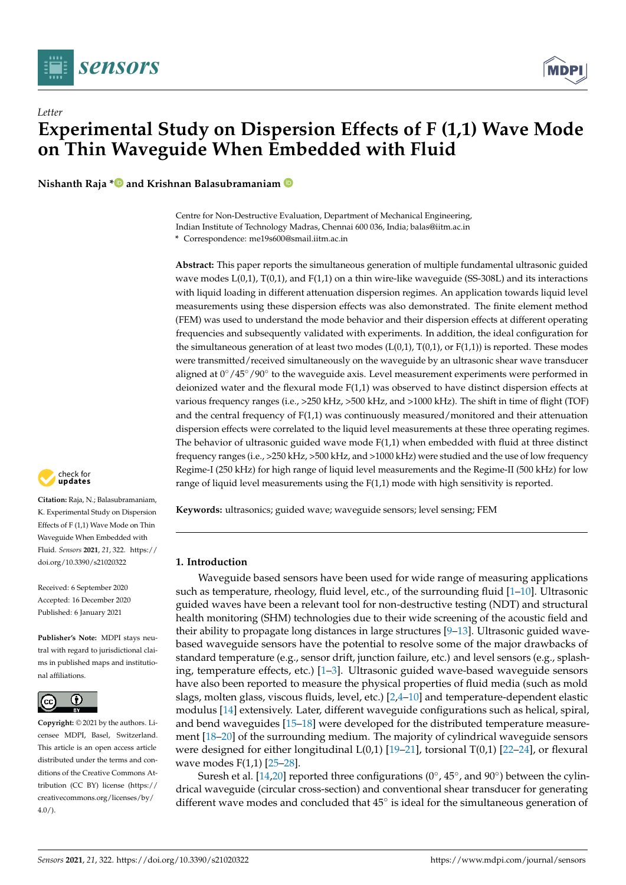



**Nishanth Raja \* and Krishnan Balasubramaniam**

Centre for Non-Destructive Evaluation, Department of Mechanical Engineering, Indian Institute of Technology Madras, Chennai 600 036, India; balas@iitm.ac.in **\*** Correspondence: me19s600@smail.iitm.ac.in

**Abstract:** This paper reports the simultaneous generation of multiple fundamental ultrasonic guided wave modes  $L(0,1)$ ,  $T(0,1)$ , and  $F(1,1)$  on a thin wire-like waveguide (SS-308L) and its interactions with liquid loading in different attenuation dispersion regimes. An application towards liquid level measurements using these dispersion effects was also demonstrated. The finite element method (FEM) was used to understand the mode behavior and their dispersion effects at different operating frequencies and subsequently validated with experiments. In addition, the ideal configuration for the simultaneous generation of at least two modes  $(L(0,1), T(0,1))$  or  $F(1,1)$ ) is reported. These modes were transmitted/received simultaneously on the waveguide by an ultrasonic shear wave transducer aligned at 0°/45°/90° to the waveguide axis. Level measurement experiments were performed in deionized water and the flexural mode F(1,1) was observed to have distinct dispersion effects at various frequency ranges (i.e., >250 kHz, >500 kHz, and >1000 kHz). The shift in time of flight (TOF) and the central frequency of F(1,1) was continuously measured/monitored and their attenuation dispersion effects were correlated to the liquid level measurements at these three operating regimes. The behavior of ultrasonic guided wave mode F(1,1) when embedded with fluid at three distinct frequency ranges (i.e., >250 kHz, >500 kHz, and >1000 kHz) were studied and the use of low frequency Regime-I (250 kHz) for high range of liquid level measurements and the Regime-II (500 kHz) for low range of liquid level measurements using the F(1,1) mode with high sensitivity is reported.

**Keywords:** ultrasonics; guided wave; waveguide sensors; level sensing; FEM

## **1. Introduction**

Waveguide based sensors have been used for wide range of measuring applications such as temperature, rheology, fluid level, etc., of the surrounding fluid [1-10]. Ultrasonic guided waves have been a relevant tool for non-destructive testing (NDT) and structural health monitoring (SHM) technologies due to their wide screening of the acoustic field and their ability to propagate long distances in large structures [9–13]. Ultrasonic guided wavebased waveguide sensors have the potential to resolve some of the major drawbacks of standard temperature (e.g., sensor drift, junction failure, etc.) and level sensors (e.g., splashing, temperature effects, etc.) [1–3]. Ultrasonic guided wave-based waveguide sensors have also been reported to measure the physical properties of fluid media (such as mold slags, molten glass, viscous fluids, level, etc.) [2,4–10] and temperature-dependent elastic modulus [14] extensively. Later, different waveguide configurations such as helical, spiral, and bend waveguides [15–18] were developed for the distributed temperature measurement [18–20] of the surrounding medium. The majority of cylindrical waveguide sensors were designed for either longitudinal  $L(0,1)$  [19–21], torsional T(0,1) [22–24], or flexural wave modes F(1,1) [25–28].

Suresh et al. [14,20] reported three configurations (0 $\degree$ , 45 $\degree$ , and 90 $\degree$ ) between the cylindrical waveguide (circular cross-section) and conventional shear transducer for generating different wave modes and concluded that 45° is ideal for the simultaneous generation of



**Citation:** Raja, N.; Balasubramaniam, K. Experimental Study on Dispersion Effects of F (1,1) Wave Mode on Thin Waveguide When Embedded with Fluid. *Sensors* **2021**, *21*, 322. https:// doi.org/10.3390/s21020322

Received: 6 September 2020 Accepted: 16 December 2020 Published: 6 January 2021

**Publisher's Note:** MDPI stays neutral with regard to jurisdictional claims in published maps and institutional affiliations.



**Copyright:** © 2021 by the authors. Licensee MDPI, Basel, Switzerland. This article is an open access article distributed under the terms and conditions of the Creative Commons Attribution (CC BY) license (https:// creativecommons.org/licenses/by/  $4.0/$ ).

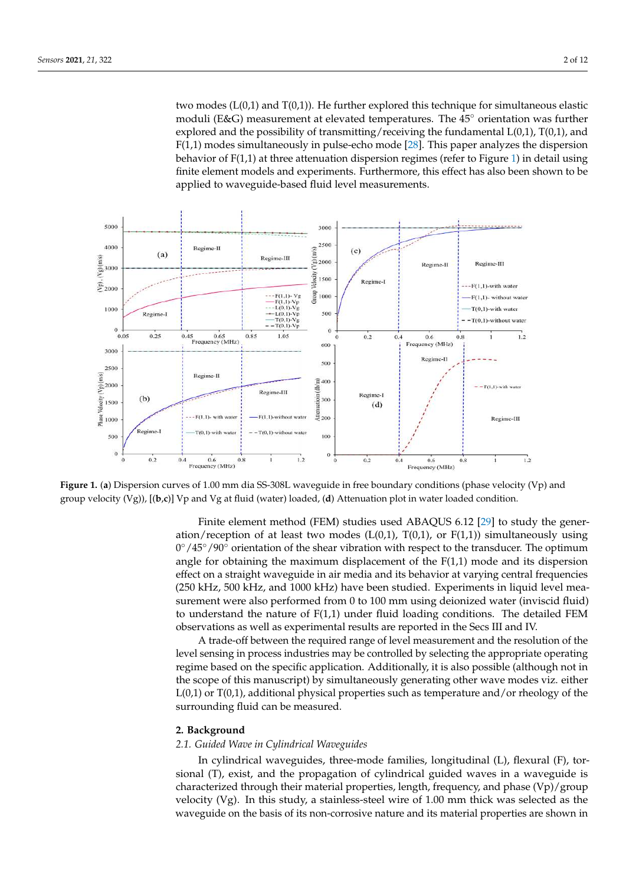two modes  $(L(0,1))$  and  $T(0,1)$ . He further explored this technique for simultaneous elastic moduli (E&G) measurement at elevated temperatures. The 45◦ orientation was further explored and the possibility of transmitting/receiving the fundamental  $L(0,1)$ ,  $T(0,1)$ , and F(1,1) modes simultaneously in pulse-echo mode [28]. This paper analyzes the dispersion behavior of  $F(1,1)$  at three attenuation dispersion regimes (refer to Figure 1) in detail using finite element models and experiments. Furthermore, this effect has also been shown to be applied to waveguide-based fluid level measurements.



**Figure 1.** (**a**) Dispersion curves of 1.00 mm dia SS-308L waveguide in free boundary conditions (phase velocity (Vp) and group velocity (Vg)), [(**b**,**c**)] Vp and Vg at fluid (water) loaded, (**d**) Attenuation plot in water loaded condition.

Finite element method (FEM) studies used ABAQUS 6.12 [29] to study the generation/reception of at least two modes ( $L(0,1)$ ,  $T(0,1)$ , or  $F(1,1)$ ) simultaneously using 0°/45°/90° orientation of the shear vibration with respect to the transducer. The optimum angle for obtaining the maximum displacement of the  $F(1,1)$  mode and its dispersion effect on a straight waveguide in air media and its behavior at varying central frequencies (250 kHz, 500 kHz, and 1000 kHz) have been studied. Experiments in liquid level measurement were also performed from 0 to 100 mm using deionized water (inviscid fluid) to understand the nature of F(1,1) under fluid loading conditions. The detailed FEM observations as well as experimental results are reported in the Secs III and IV.

A trade-off between the required range of level measurement and the resolution of the level sensing in process industries may be controlled by selecting the appropriate operating regime based on the specific application. Additionally, it is also possible (although not in the scope of this manuscript) by simultaneously generating other wave modes viz. either  $L(0,1)$  or T $(0,1)$ , additional physical properties such as temperature and/or rheology of the surrounding fluid can be measured.

#### **2. Background**

# *2.1. Guided Wave in Cylindrical Waveguides*

In cylindrical waveguides, three-mode families, longitudinal (L), flexural (F), torsional (T), exist, and the propagation of cylindrical guided waves in a waveguide is characterized through their material properties, length, frequency, and phase (Vp)/group velocity (Vg). In this study, a stainless-steel wire of 1.00 mm thick was selected as the waveguide on the basis of its non-corrosive nature and its material properties are shown in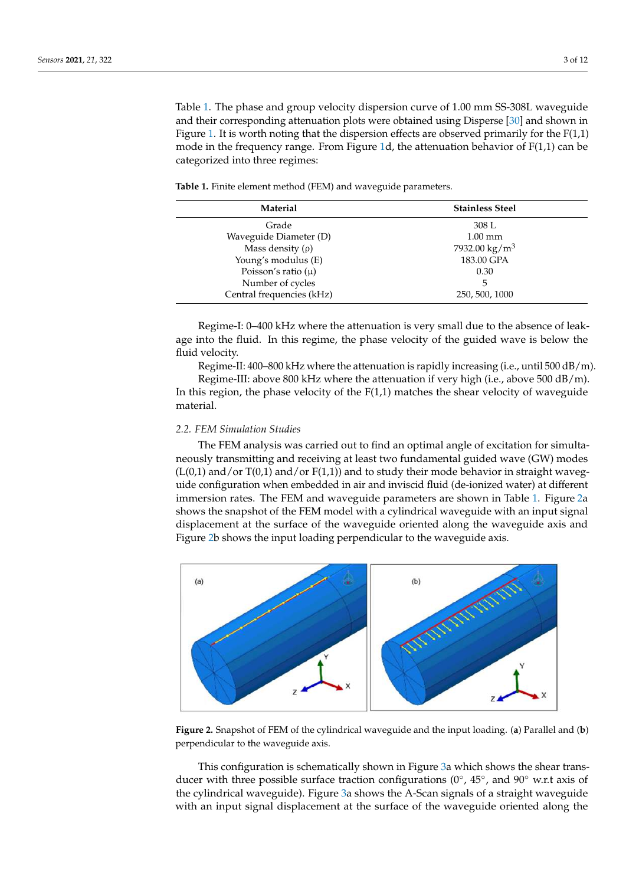Table 1. The phase and group velocity dispersion curve of 1.00 mm SS-308L waveguide and their corresponding attenuation plots were obtained using Disperse [30] and shown in Figure 1. It is worth noting that the dispersion effects are observed primarily for the  $F(1,1)$ mode in the frequency range. From Figure 1d, the attenuation behavior of  $F(1,1)$  can be categorized into three regimes:

**Table 1.** Finite element method (FEM) and waveguide parameters.

| Material                  | <b>Stainless Steel</b>    |  |
|---------------------------|---------------------------|--|
| Grade                     | 308 L                     |  |
| Waveguide Diameter (D)    | $1.00 \text{ mm}$         |  |
| Mass density $(\rho)$     | 7932.00 kg/m <sup>3</sup> |  |
| Young's modulus (E)       | 183.00 GPA                |  |
| Poisson's ratio $(\mu)$   | 0.30                      |  |
| Number of cycles          | 5                         |  |
| Central frequencies (kHz) | 250, 500, 1000            |  |

Regime-I: 0–400 kHz where the attenuation is very small due to the absence of leakage into the fluid. In this regime, the phase velocity of the guided wave is below the fluid velocity.

Regime-II: 400–800 kHz where the attenuation is rapidly increasing (i.e., until 500 dB/m).

Regime-III: above 800 kHz where the attenuation if very high (i.e., above 500 dB/m). In this region, the phase velocity of the  $F(1,1)$  matches the shear velocity of waveguide material.

### *2.2. FEM Simulation Studies*

The FEM analysis was carried out to find an optimal angle of excitation for simultaneously transmitting and receiving at least two fundamental guided wave (GW) modes  $(L(0,1)$  and/or  $T(0,1)$  and/or  $F(1,1)$ ) and to study their mode behavior in straight waveguide configuration when embedded in air and inviscid fluid (de-ionized water) at different immersion rates. The FEM and waveguide parameters are shown in Table 1. Figure 2a shows the snapshot of the FEM model with a cylindrical waveguide with an input signal displacement at the surface of the waveguide oriented along the waveguide axis and Figure 2b shows the input loading perpendicular to the waveguide axis.



**Figure 2.** Snapshot of FEM of the cylindrical waveguide and the input loading. (**a**) Parallel and (**b**) perpendicular to the waveguide axis.

This configuration is schematically shown in Figure 3a which shows the shear transducer with three possible surface traction configurations (0°, 45°, and 90° w.r.t axis of the cylindrical waveguide). Figure 3a shows the A-Scan signals of a straight waveguide with an input signal displacement at the surface of the waveguide oriented along the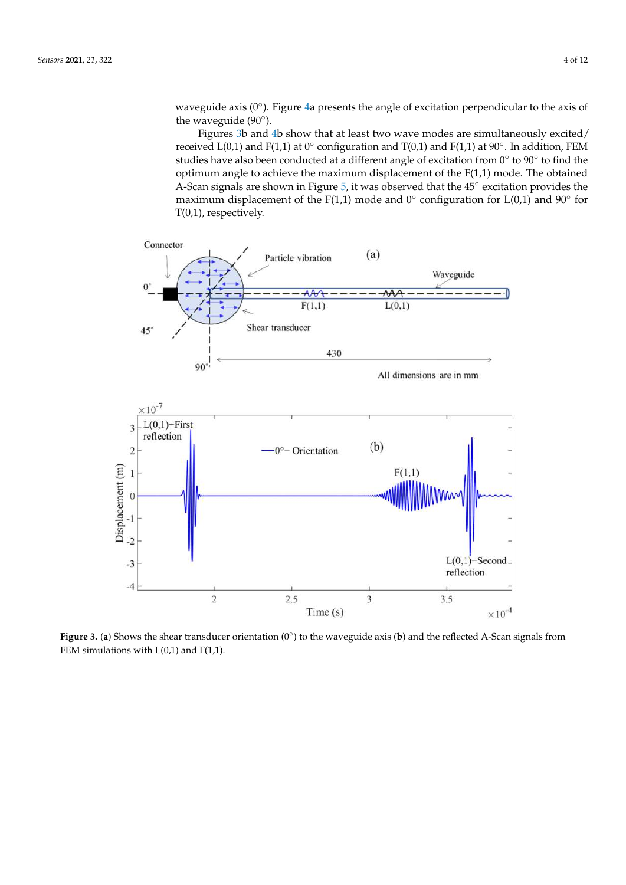waveguide axis (0°). Figure 4a presents the angle of excitation perpendicular to the axis of the waveguide  $(90^{\circ})$ .

Figures 3b and 4b show that at least two wave modes are simultaneously excited/ received L(0,1) and F(1,1) at 0° configuration and T(0,1) and F(1,1) at 90°. In addition, FEM studies have also been conducted at a different angle of excitation from 0° to 90° to find the optimum angle to achieve the maximum displacement of the  $F(1,1)$  mode. The obtained A-Scan signals are shown in Figure 5, it was observed that the 45° excitation provides the maximum displacement of the F(1,1) mode and 0 $^{\circ}$  configuration for L(0,1) and 90 $^{\circ}$  for T(0,1), respectively.



**Figure 3. (a)** Shows the shear transducer orientation (0°) to the waveguide axis (**b**) and the reflected A-Scan signals from FEM simulations with  $L(0,1)$  and  $F(1,1)$ .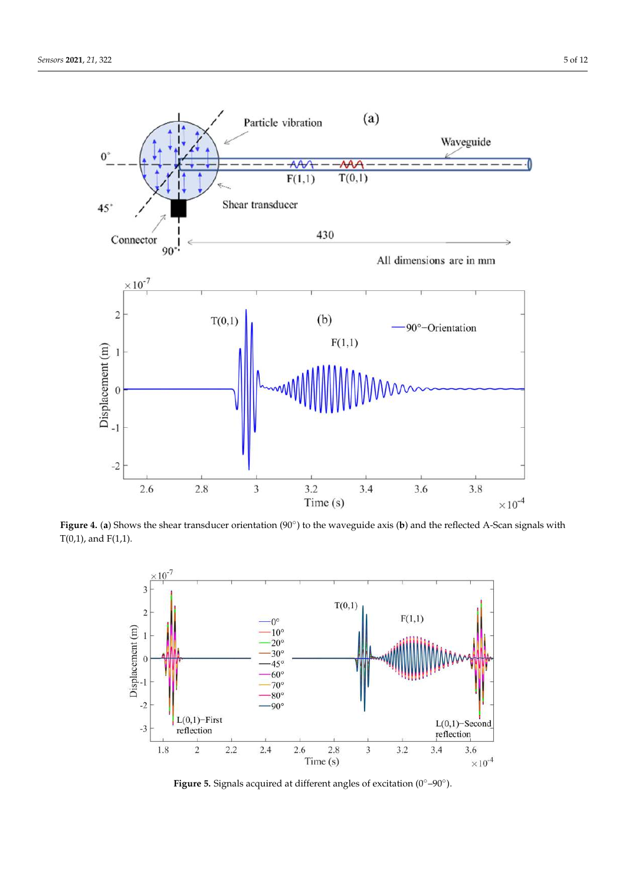

**Figure 4. (a)** Shows the shear transducer orientation (90°) to the waveguide axis (b) and the reflected A-Scan signals with  $T(0,1)$ , and  $F(1,1)$ .



**Figure 5.** Signals acquired at different angles of excitation (0◦–90◦ ).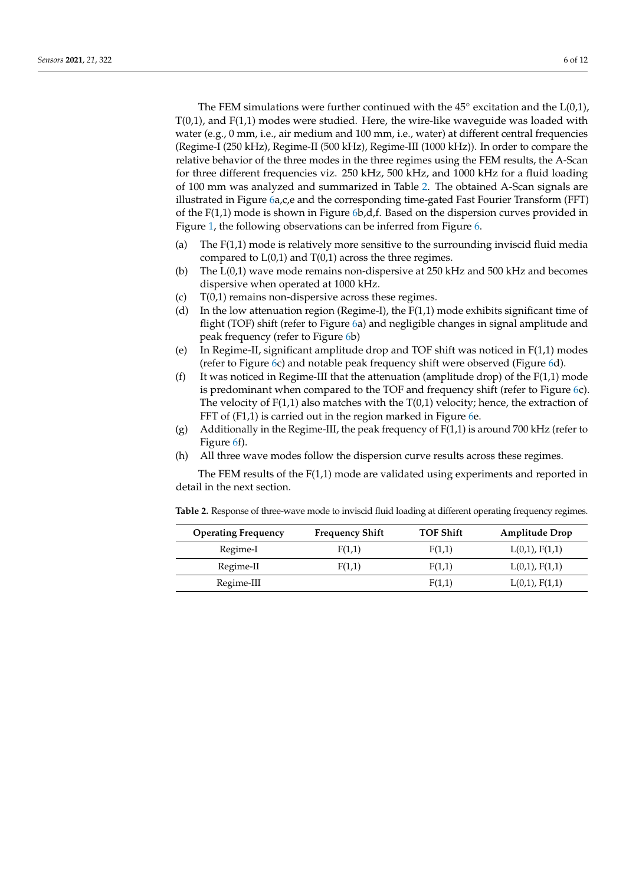The FEM simulations were further continued with the  $45^{\circ}$  excitation and the L(0,1),  $T(0,1)$ , and  $F(1,1)$  modes were studied. Here, the wire-like waveguide was loaded with water (e.g., 0 mm, i.e., air medium and 100 mm, i.e., water) at different central frequencies (Regime-I (250 kHz), Regime-II (500 kHz), Regime-III (1000 kHz)). In order to compare the relative behavior of the three modes in the three regimes using the FEM results, the A-Scan for three different frequencies viz. 250 kHz, 500 kHz, and 1000 kHz for a fluid loading of 100 mm was analyzed and summarized in Table 2. The obtained A-Scan signals are illustrated in Figure 6a,c,e and the corresponding time-gated Fast Fourier Transform (FFT) of the  $F(1,1)$  mode is shown in Figure  $6b, d, f$ . Based on the dispersion curves provided in Figure 1, the following observations can be inferred from Figure 6.

- (a) The F(1,1) mode is relatively more sensitive to the surrounding inviscid fluid media compared to  $L(0,1)$  and  $T(0,1)$  across the three regimes.
- (b) The L(0,1) wave mode remains non-dispersive at 250 kHz and 500 kHz and becomes dispersive when operated at 1000 kHz.
- (c) T(0,1) remains non-dispersive across these regimes.
- (d) In the low attenuation region (Regime-I), the  $F(1,1)$  mode exhibits significant time of flight (TOF) shift (refer to Figure 6a) and negligible changes in signal amplitude and peak frequency (refer to Figure 6b)
- (e) In Regime-II, significant amplitude drop and TOF shift was noticed in F(1,1) modes (refer to Figure 6c) and notable peak frequency shift were observed (Figure 6d).
- (f) It was noticed in Regime-III that the attenuation (amplitude drop) of the  $F(1,1)$  mode is predominant when compared to the TOF and frequency shift (refer to Figure 6c). The velocity of  $F(1,1)$  also matches with the  $T(0,1)$  velocity; hence, the extraction of FFT of (F1,1) is carried out in the region marked in Figure 6e.
- (g) Additionally in the Regime-III, the peak frequency of  $F(1,1)$  is around 700 kHz (refer to Figure 6f).
- (h) All three wave modes follow the dispersion curve results across these regimes.

The FEM results of the F(1,1) mode are validated using experiments and reported in detail in the next section.

| <b>Operating Frequency</b> | <b>Frequency Shift</b> | <b>TOF Shift</b> | <b>Amplitude Drop</b> |
|----------------------------|------------------------|------------------|-----------------------|
| Regime-I                   | F(1,1)                 | F(1,1)           | $L(0,1)$ , $F(1,1)$   |
| Regime-II                  | F(1,1)                 | F(1,1)           | $L(0,1)$ , $F(1,1)$   |
| Regime-III                 |                        | F(1,1)           | $L(0,1)$ , $F(1,1)$   |

**Table 2.** Response of three-wave mode to inviscid fluid loading at different operating frequency regimes.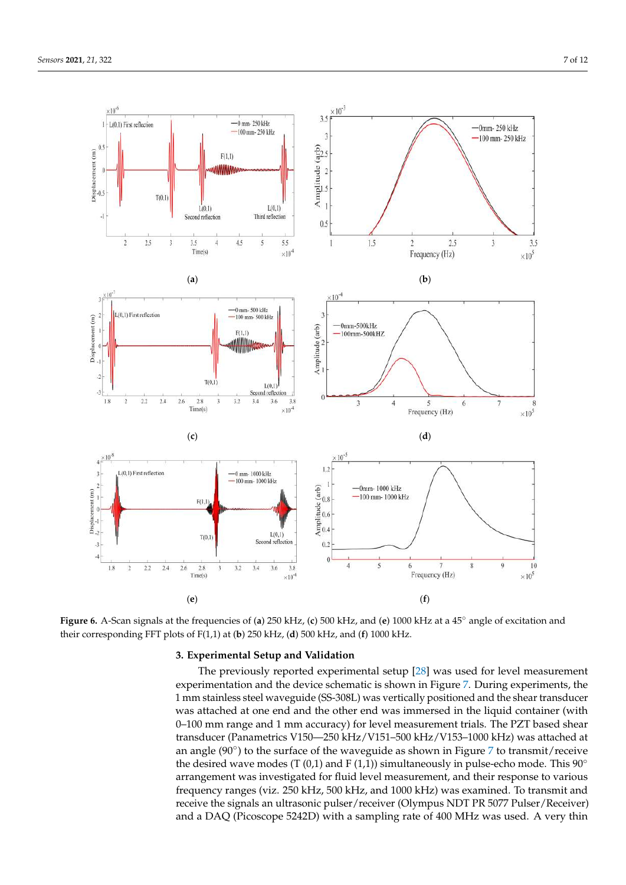$\times 10^{-6}$ 

 $0<sup>4</sup>$ 

ement (m)

 $\frac{1}{2}$ 

L(0.1) First reflection

 $\overline{2}$ 

 $3\frac{\times 10^{-7}}{1}$ 

Displacement (m)

 $\theta$ 

 $\ddot{2}$ 

 $-3$ 

 $1.8$ 

 $2.5$ 

L(0,1) First reflection

 $2.2$  $2.4$ 

 $T(0,1)$ 

 $\overline{3}$ 





**Figure 6.** A-Scan signals at the frequencies of (**a**) 250 kHz, (**c**) 500 kHz, and (**e**) 1000 kHz at a 45◦ angle of excitation and their corresponding FFT plots of F(1,1) at (**b**) 250 kHz, (**d**) 500 kHz, and (**f**) 1000 kHz.

# **3. Experimental Setup and Validation**

The previously reported experimental setup [28] was used for level measurement experimentation and the device schematic is shown in Figure 7. During experiments, the 1 mm stainless steel waveguide (SS-308L) was vertically positioned and the shear transducer was attached at one end and the other end was immersed in the liquid container (with 0–100 mm range and 1 mm accuracy) for level measurement trials. The PZT based shear transducer (Panametrics V150—250 kHz/V151–500 kHz/V153–1000 kHz) was attached at an angle (90◦ ) to the surface of the waveguide as shown in Figure 7 to transmit/receive the desired wave modes (T (0,1) and F (1,1)) simultaneously in pulse-echo mode. This  $90^\circ$ arrangement was investigated for fluid level measurement, and their response to various frequency ranges (viz. 250 kHz, 500 kHz, and 1000 kHz) was examined. To transmit and receive the signals an ultrasonic pulser/receiver (Olympus NDT PR 5077 Pulser/Receiver) and a DAQ (Picoscope 5242D) with a sampling rate of 400 MHz was used. A very thin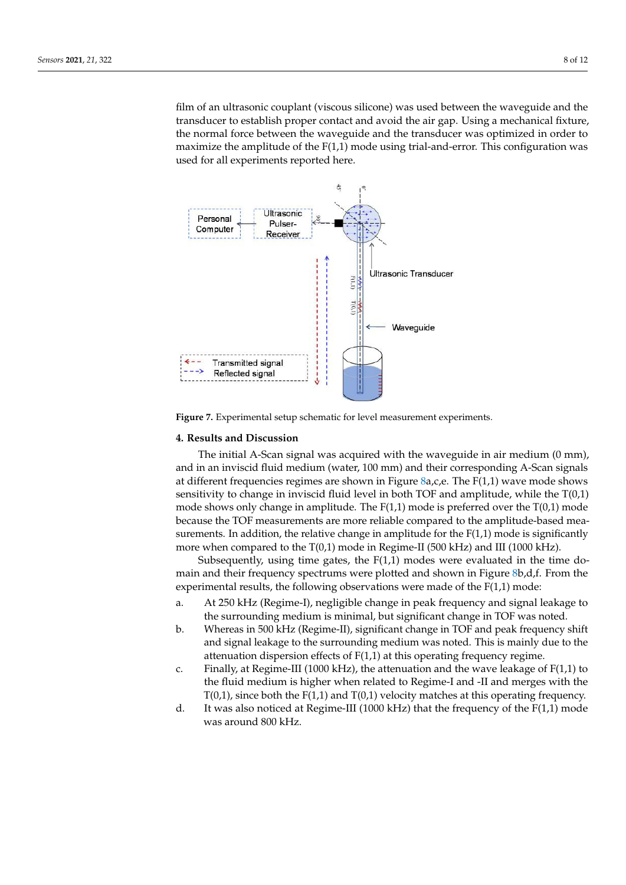film of an ultrasonic couplant (viscous silicone) was used between the waveguide and the transducer to establish proper contact and avoid the air gap. Using a mechanical fixture, the normal force between the waveguide and the transducer was optimized in order to maximize the amplitude of the  $F(1,1)$  mode using trial-and-error. This configuration was used for all experiments reported here.



**Figure 7.** Experimental setup schematic for level measurement experiments.

#### **4. Results and Discussion**

The initial A-Scan signal was acquired with the waveguide in air medium (0 mm), and in an inviscid fluid medium (water, 100 mm) and their corresponding A-Scan signals at different frequencies regimes are shown in Figure  $8a$ , c, e. The  $F(1,1)$  wave mode shows sensitivity to change in inviscid fluid level in both TOF and amplitude, while the T(0,1) mode shows only change in amplitude. The  $F(1,1)$  mode is preferred over the  $T(0,1)$  mode because the TOF measurements are more reliable compared to the amplitude-based measurements. In addition, the relative change in amplitude for the  $F(1,1)$  mode is significantly more when compared to the T(0,1) mode in Regime-II (500 kHz) and III (1000 kHz).

Subsequently, using time gates, the  $F(1,1)$  modes were evaluated in the time domain and their frequency spectrums were plotted and shown in Figure 8b,d,f. From the experimental results, the following observations were made of the  $F(1,1)$  mode:

- a. At 250 kHz (Regime-I), negligible change in peak frequency and signal leakage to the surrounding medium is minimal, but significant change in TOF was noted.
- b. Whereas in 500 kHz (Regime-II), significant change in TOF and peak frequency shift and signal leakage to the surrounding medium was noted. This is mainly due to the attenuation dispersion effects of F(1,1) at this operating frequency regime.
- c. Finally, at Regime-III (1000 kHz), the attenuation and the wave leakage of F(1,1) to the fluid medium is higher when related to Regime-I and -II and merges with the  $T(0,1)$ , since both the  $F(1,1)$  and  $T(0,1)$  velocity matches at this operating frequency.
- d. It was also noticed at Regime-III (1000 kHz) that the frequency of the  $F(1,1)$  mode was around 800 kHz.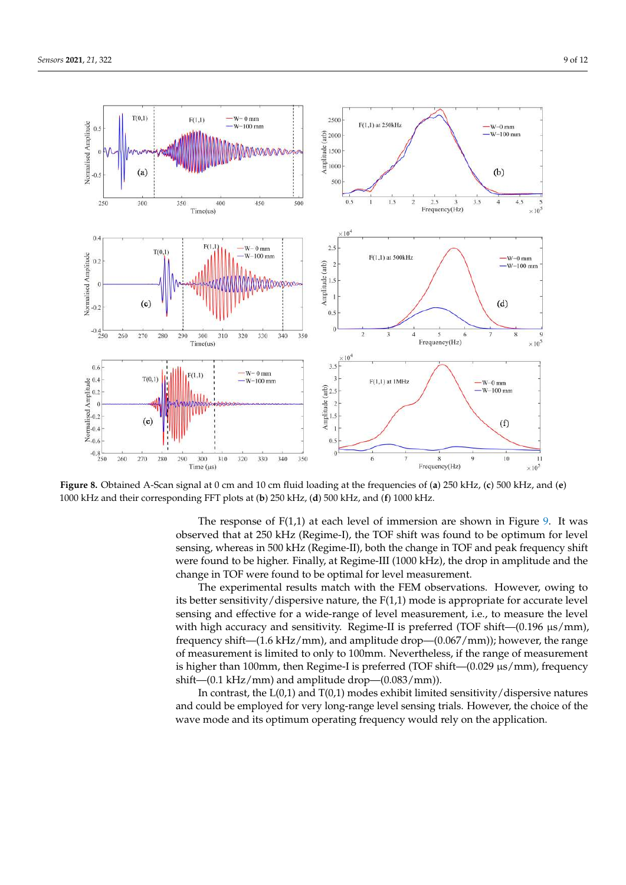

**Figure 8.** Obtained A-Scan signal at 0 cm and 10 cm fluid loading at the frequencies of (**a**) 250 kHz, (**c**) 500 kHz, and (**e**) 1000 kHz and their corresponding FFT plots at (**b**) 250 kHz, (**d**) 500 kHz, and (**f**) 1000 kHz.

The response of  $F(1,1)$  at each level of immersion are shown in Figure 9. It was observed that at 250 kHz (Regime-I), the TOF shift was found to be optimum for level sensing, whereas in 500 kHz (Regime-II), both the change in TOF and peak frequency shift were found to be higher. Finally, at Regime-III (1000 kHz), the drop in amplitude and the change in TOF were found to be optimal for level measurement.

The experimental results match with the FEM observations. However, owing to its better sensitivity/dispersive nature, the  $F(1,1)$  mode is appropriate for accurate level sensing and effective for a wide-range of level measurement, i.e., to measure the level with high accuracy and sensitivity. Regime-II is preferred (TOF shift— $(0.196 \mu s/mm)$ , frequency shift—(1.6 kHz/mm), and amplitude drop—(0.067/mm)); however, the range of measurement is limited to only to 100mm. Nevertheless, if the range of measurement is higher than 100mm, then Regime-I is preferred (TOF shift— $(0.029 \,\mu s/mm)$ , frequency shift—(0.1 kHz/mm) and amplitude drop—(0.083/mm)).

In contrast, the  $L(0,1)$  and  $T(0,1)$  modes exhibit limited sensitivity/dispersive natures and could be employed for very long-range level sensing trials. However, the choice of the wave mode and its optimum operating frequency would rely on the application.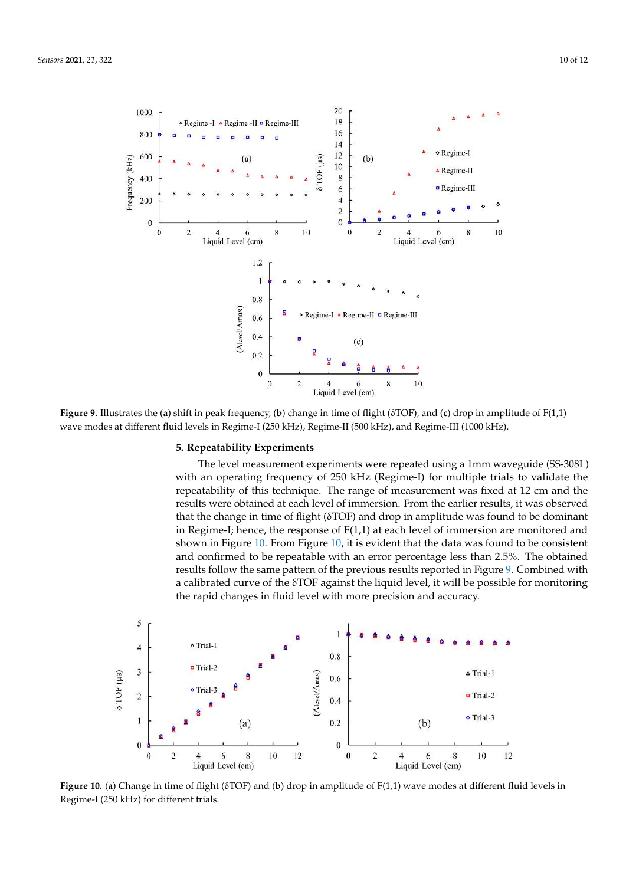

δ **Figure 9.** Illustrates the (**a**) shift in peak frequency, (**b**) change in time of flight (δTOF), and (**c**) drop in amplitude of F(1,1) wave modes at different fluid levels in Regime-I (250 kHz), Regime-II (500 kHz), and Regime-III (1000 kHz).

## **5. Repeatability Experiments**

The level measurement experiments were repeated using a 1mm waveguide (SS-308L) with an operating frequency of 250 kHz (Regime-I) for multiple trials to validate the repeatability of this technique. The range of measurement was fixed at 12 cm and the results were obtained at each level of immersion. From the earlier results, it was observed that the change in time of flight ( $\delta$ TOF) and drop in amplitude was found to be dominant in Regime-I; hence, the response of F(1,1) at each level of immersion are monitored and shown in Figure 10. From Figure 10, it is evident that the data was found to be consistent and confirmed to be repeatable with an error percentage less than 2.5%. The obtained results follow the same pattern of the previous results reported in Figure 9. Combined with a calibrated curve of the  $\delta$ TOF against the liquid level, it will be possible for monitoring the rapid changes in fluid level with more precision and accuracy.



**Figure 10.** (a) Change in time of flight (δTOF) and (b) drop in amplitude of F(1,1) wave modes at different fluid levels in Regime-I (250 kHz) for different trials.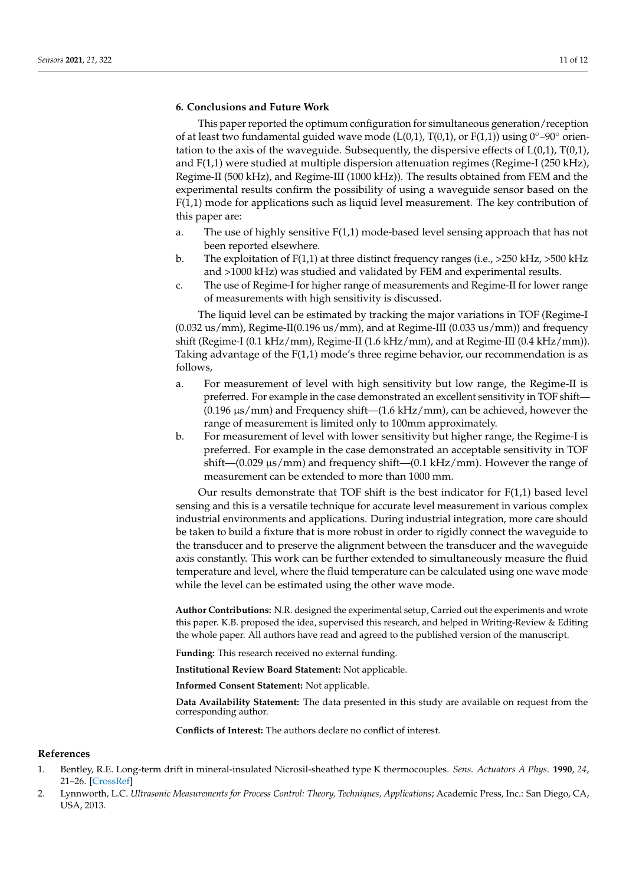## **6. Conclusions and Future Work**

This paper reported the optimum configuration for simultaneous generation/reception of at least two fundamental guided wave mode (L(0,1), T(0,1), or F(1,1)) using  $0°-90°$  orientation to the axis of the waveguide. Subsequently, the dispersive effects of  $L(0,1)$ ,  $T(0,1)$ , and F(1,1) were studied at multiple dispersion attenuation regimes (Regime-I (250 kHz), Regime-II (500 kHz), and Regime-III (1000 kHz)). The results obtained from FEM and the experimental results confirm the possibility of using a waveguide sensor based on the F(1,1) mode for applications such as liquid level measurement. The key contribution of this paper are:

- a. The use of highly sensitive F(1,1) mode-based level sensing approach that has not been reported elsewhere.
- b. The exploitation of F(1,1) at three distinct frequency ranges (i.e., >250 kHz, >500 kHz and >1000 kHz) was studied and validated by FEM and experimental results.
- c. The use of Regime-I for higher range of measurements and Regime-II for lower range of measurements with high sensitivity is discussed.

The liquid level can be estimated by tracking the major variations in TOF (Regime-I  $(0.032 \text{ us/mm})$ , Regime-II $(0.196 \text{ us/mm})$ , and at Regime-III  $(0.033 \text{ us/mm})$  and frequency shift (Regime-I  $(0.1 \text{ kHz/mm})$ , Regime-II  $(1.6 \text{ kHz/mm})$ , and at Regime-III  $(0.4 \text{ kHz/mm})$ ). Taking advantage of the  $F(1,1)$  mode's three regime behavior, our recommendation is as follows,

- a. For measurement of level with high sensitivity but low range, the Regime-II is preferred. For example in the case demonstrated an excellent sensitivity in TOF shift—  $(0.196 \,\mu s/mm)$  and Frequency shift— $(1.6 \,\text{kHz/mm})$ , can be achieved, however the range of measurement is limited only to 100mm approximately.
- b. For measurement of level with lower sensitivity but higher range, the Regime-I is preferred. For example in the case demonstrated an acceptable sensitivity in TOF shift— $(0.029 \mu s/mm)$  and frequency shift— $(0.1 \text{ kHz/mm})$ . However the range of measurement can be extended to more than 1000 mm.

Our results demonstrate that TOF shift is the best indicator for  $F(1,1)$  based level sensing and this is a versatile technique for accurate level measurement in various complex industrial environments and applications. During industrial integration, more care should be taken to build a fixture that is more robust in order to rigidly connect the waveguide to the transducer and to preserve the alignment between the transducer and the waveguide axis constantly. This work can be further extended to simultaneously measure the fluid temperature and level, where the fluid temperature can be calculated using one wave mode while the level can be estimated using the other wave mode.

**Author Contributions:** N.R. designed the experimental setup, Carried out the experiments and wrote this paper. K.B. proposed the idea, supervised this research, and helped in Writing-Review & Editing the whole paper. All authors have read and agreed to the published version of the manuscript.

**Funding:** This research received no external funding.

**Institutional Review Board Statement:** Not applicable.

**Informed Consent Statement:** Not applicable.

**Data Availability Statement:** The data presented in this study are available on request from the corresponding author.

**Conflicts of Interest:** The authors declare no conflict of interest.

### **References**

- 1. Bentley, R.E. Long-term drift in mineral-insulated Nicrosil-sheathed type K thermocouples. *Sens. Actuators A Phys.* **1990**, *24*, 21–26. [CrossRef]
- 2. Lynnworth, L.C. *Ultrasonic Measurements for Process Control: Theory, Techniques, Applications*; Academic Press, Inc.: San Diego, CA, USA, 2013.